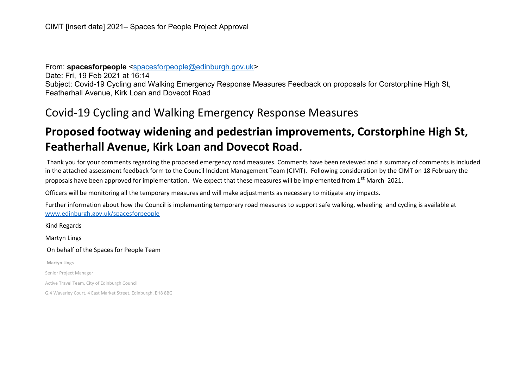From: **spacesforpeople** [<spacesforpeople@edinburgh.gov.uk>](mailto:spacesforpeople@edinburgh.gov.uk) Date: Fri, 19 Feb 2021 at 16:14 Subject: Covid-19 Cycling and Walking Emergency Response Measures Feedback on proposals for Corstorphine High St, Featherhall Avenue, Kirk Loan and Dovecot Road

## Covid-19 Cycling and Walking Emergency Response Measures

## **Proposed footway widening and pedestrian improvements, Corstorphine High St, Featherhall Avenue, Kirk Loan and Dovecot Road.**

Thank you for your comments regarding the proposed emergency road measures. Comments have been reviewed and a summary of comments is included in the attached assessment feedback form to the Council Incident Management Team (CIMT). Following consideration by the CIMT on 18 February the proposals have been approved for implementation. We expect that these measures will be implemented from 1<sup>st</sup> March 2021.

Officers will be monitoring all the temporary measures and will make adjustments as necessary to mitigate any impacts.

Further information about how the Council is implementing temporary road measures to support safe walking, wheeling and cycling is available at [www.edinburgh.gov.uk/spacesforpeople](http://www.edinburgh.gov.uk/spacesforpeople)

Kind Regards Martyn Lings On behalf of the Spaces for People Team **Martyn Lings** Senior Project Manager Active Travel Team, City of Edinburgh Council G.4 Waverley Court, 4 East Market Street, Edinburgh, EH8 8BG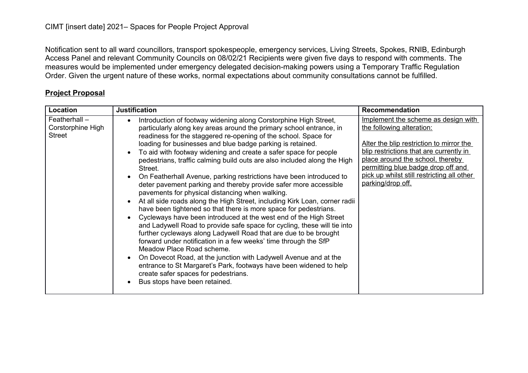Notification sent to all ward councillors, transport spokespeople, emergency services, Living Streets, Spokes, RNIB, Edinburgh Access Panel and relevant Community Councils on 08/02/21 Recipients were given five days to respond with comments. The measures would be implemented under emergency delegated decision-making powers using a Temporary Traffic Regulation Order. Given the urgent nature of these works, normal expectations about community consultations cannot be fulfilled.

| Location                                              | <b>Justification</b>                                                                                                                                                                                                                                                                                                                                                                                                                                                                                                                                                                                                                                                                                                                                                                                                                                                                                                                                                                                                                                                                                                                                                                                                                                                                                                        | <b>Recommendation</b>                                                                                                                                                                                                                                                                                |
|-------------------------------------------------------|-----------------------------------------------------------------------------------------------------------------------------------------------------------------------------------------------------------------------------------------------------------------------------------------------------------------------------------------------------------------------------------------------------------------------------------------------------------------------------------------------------------------------------------------------------------------------------------------------------------------------------------------------------------------------------------------------------------------------------------------------------------------------------------------------------------------------------------------------------------------------------------------------------------------------------------------------------------------------------------------------------------------------------------------------------------------------------------------------------------------------------------------------------------------------------------------------------------------------------------------------------------------------------------------------------------------------------|------------------------------------------------------------------------------------------------------------------------------------------------------------------------------------------------------------------------------------------------------------------------------------------------------|
| Featherhall $-$<br>Corstorphine High<br><b>Street</b> | Introduction of footway widening along Corstorphine High Street,<br>particularly along key areas around the primary school entrance, in<br>readiness for the staggered re-opening of the school. Space for<br>loading for businesses and blue badge parking is retained.<br>To aid with footway widening and create a safer space for people<br>pedestrians, traffic calming build outs are also included along the High<br>Street.<br>On Featherhall Avenue, parking restrictions have been introduced to<br>deter pavement parking and thereby provide safer more accessible<br>pavements for physical distancing when walking.<br>At all side roads along the High Street, including Kirk Loan, corner radii<br>have been tightened so that there is more space for pedestrians.<br>Cycleways have been introduced at the west end of the High Street<br>and Ladywell Road to provide safe space for cycling, these will tie into<br>further cycleways along Ladywell Road that are due to be brought<br>forward under notification in a few weeks' time through the SfP<br>Meadow Place Road scheme.<br>On Dovecot Road, at the junction with Ladywell Avenue and at the<br>entrance to St Margaret's Park, footways have been widened to help<br>create safer spaces for pedestrians.<br>Bus stops have been retained. | Implement the scheme as design with<br>the following alteration:<br>Alter the blip restriction to mirror the<br>blip restrictions that are currently in<br>place around the school, thereby<br>permitting blue badge drop off and<br>pick up whilst still restricting all other<br>parking/drop off. |

## **Project Proposal**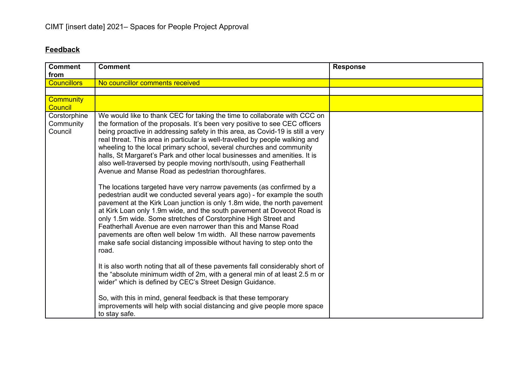## **Feedback**

| <b>Comment</b>     | <b>Comment</b>                                                                 | <b>Response</b> |
|--------------------|--------------------------------------------------------------------------------|-----------------|
| from               |                                                                                |                 |
| <b>Councillors</b> | No councillor comments received                                                |                 |
|                    |                                                                                |                 |
| <b>Community</b>   |                                                                                |                 |
| <b>Council</b>     |                                                                                |                 |
| Corstorphine       | We would like to thank CEC for taking the time to collaborate with CCC on      |                 |
| Community          | the formation of the proposals. It's been very positive to see CEC officers    |                 |
| Council            | being proactive in addressing safety in this area, as Covid-19 is still a very |                 |
|                    | real threat. This area in particular is well-travelled by people walking and   |                 |
|                    | wheeling to the local primary school, several churches and community           |                 |
|                    | halls, St Margaret's Park and other local businesses and amenities. It is      |                 |
|                    | also well-traversed by people moving north/south, using Featherhall            |                 |
|                    | Avenue and Manse Road as pedestrian thoroughfares.                             |                 |
|                    |                                                                                |                 |
|                    | The locations targeted have very narrow pavements (as confirmed by a           |                 |
|                    | pedestrian audit we conducted several years ago) - for example the south       |                 |
|                    | pavement at the Kirk Loan junction is only 1.8m wide, the north pavement       |                 |
|                    | at Kirk Loan only 1.9m wide, and the south pavement at Dovecot Road is         |                 |
|                    | only 1.5m wide. Some stretches of Corstorphine High Street and                 |                 |
|                    | Featherhall Avenue are even narrower than this and Manse Road                  |                 |
|                    | pavements are often well below 1m width. All these narrow pavements            |                 |
|                    | make safe social distancing impossible without having to step onto the         |                 |
|                    | road.                                                                          |                 |
|                    |                                                                                |                 |
|                    | It is also worth noting that all of these pavements fall considerably short of |                 |
|                    | the "absolute minimum width of 2m, with a general min of at least 2.5 m or     |                 |
|                    | wider" which is defined by CEC's Street Design Guidance.                       |                 |
|                    |                                                                                |                 |
|                    | So, with this in mind, general feedback is that these temporary                |                 |
|                    | improvements will help with social distancing and give people more space       |                 |
|                    | to stay safe.                                                                  |                 |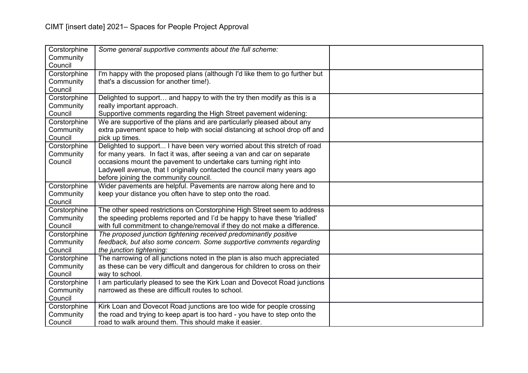| Corstorphine<br>Community<br>Council | Some general supportive comments about the full scheme:                                                                                                                                                                                                                                                                                     |  |
|--------------------------------------|---------------------------------------------------------------------------------------------------------------------------------------------------------------------------------------------------------------------------------------------------------------------------------------------------------------------------------------------|--|
| Corstorphine<br>Community<br>Council | I'm happy with the proposed plans (although I'd like them to go further but<br>that's a discussion for another time!).                                                                                                                                                                                                                      |  |
| Corstorphine<br>Community<br>Council | Delighted to support and happy to with the try then modify as this is a<br>really important approach.<br>Supportive comments regarding the High Street pavement widening:                                                                                                                                                                   |  |
| Corstorphine<br>Community<br>Council | We are supportive of the plans and are particularly pleased about any<br>extra pavement space to help with social distancing at school drop off and<br>pick up times.                                                                                                                                                                       |  |
| Corstorphine<br>Community<br>Council | Delighted to support I have been very worried about this stretch of road<br>for many years. In fact it was, after seeing a van and car on separate<br>occasions mount the pavement to undertake cars turning right into<br>Ladywell avenue, that I originally contacted the council many years ago<br>before joining the community council. |  |
| Corstorphine<br>Community<br>Council | Wider pavements are helpful. Pavements are narrow along here and to<br>keep your distance you often have to step onto the road.                                                                                                                                                                                                             |  |
| Corstorphine<br>Community<br>Council | The other speed restrictions on Corstorphine High Street seem to address<br>the speeding problems reported and I'd be happy to have these 'trialled'<br>with full commitment to change/removal if they do not make a difference.                                                                                                            |  |
| Corstorphine<br>Community<br>Council | The proposed junction tightening received predominantly positive<br>feedback, but also some concern. Some supportive comments regarding<br>the junction tightening:                                                                                                                                                                         |  |
| Corstorphine<br>Community<br>Council | The narrowing of all junctions noted in the plan is also much appreciated<br>as these can be very difficult and dangerous for children to cross on their<br>way to school.                                                                                                                                                                  |  |
| Corstorphine<br>Community<br>Council | I am particularly pleased to see the Kirk Loan and Dovecot Road junctions<br>narrowed as these are difficult routes to school.                                                                                                                                                                                                              |  |
| Corstorphine<br>Community<br>Council | Kirk Loan and Dovecot Road junctions are too wide for people crossing<br>the road and trying to keep apart is too hard - you have to step onto the<br>road to walk around them. This should make it easier.                                                                                                                                 |  |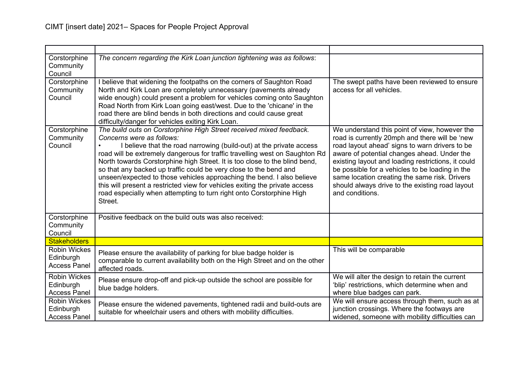| Corstorphine<br>Community<br>Council                    | The concern regarding the Kirk Loan junction tightening was as follows:                                                                                                                                                                                                                                                                                                                                                                                                                                                                                                                                                                               |                                                                                                                                                                                                                                                                                                                                                                                                                                  |
|---------------------------------------------------------|-------------------------------------------------------------------------------------------------------------------------------------------------------------------------------------------------------------------------------------------------------------------------------------------------------------------------------------------------------------------------------------------------------------------------------------------------------------------------------------------------------------------------------------------------------------------------------------------------------------------------------------------------------|----------------------------------------------------------------------------------------------------------------------------------------------------------------------------------------------------------------------------------------------------------------------------------------------------------------------------------------------------------------------------------------------------------------------------------|
| Corstorphine<br>Community<br>Council                    | I believe that widening the footpaths on the corners of Saughton Road<br>North and Kirk Loan are completely unnecessary (pavements already<br>wide enough) could present a problem for vehicles coming onto Saughton<br>Road North from Kirk Loan going east/west. Due to the 'chicane' in the<br>road there are blind bends in both directions and could cause great<br>difficulty/danger for vehicles exiting Kirk Loan.                                                                                                                                                                                                                            | The swept paths have been reviewed to ensure<br>access for all vehicles.                                                                                                                                                                                                                                                                                                                                                         |
| Corstorphine<br>Community<br>Council                    | The build outs on Corstorphine High Street received mixed feedback.<br>Concerns were as follows:<br>I believe that the road narrowing (build-out) at the private access<br>road will be extremely dangerous for traffic travelling west on Saughton Rd<br>North towards Corstorphine high Street. It is too close to the blind bend,<br>so that any backed up traffic could be very close to the bend and<br>unseen/expected to those vehicles approaching the bend. I also believe<br>this will present a restricted view for vehicles exiting the private access<br>road especially when attempting to turn right onto Corstorphine High<br>Street. | We understand this point of view, however the<br>road is currently 20mph and there will be 'new<br>road layout ahead' signs to warn drivers to be<br>aware of potential changes ahead. Under the<br>existing layout and loading restrictions, it could<br>be possible for a vehicles to be loading in the<br>same location creating the same risk. Drivers<br>should always drive to the existing road layout<br>and conditions. |
| Corstorphine<br>Community<br>Council                    | Positive feedback on the build outs was also received:                                                                                                                                                                                                                                                                                                                                                                                                                                                                                                                                                                                                |                                                                                                                                                                                                                                                                                                                                                                                                                                  |
| <b>Stakeholders</b>                                     |                                                                                                                                                                                                                                                                                                                                                                                                                                                                                                                                                                                                                                                       |                                                                                                                                                                                                                                                                                                                                                                                                                                  |
| <b>Robin Wickes</b><br>Edinburgh<br><b>Access Panel</b> | Please ensure the availability of parking for blue badge holder is<br>comparable to current availability both on the High Street and on the other<br>affected roads.                                                                                                                                                                                                                                                                                                                                                                                                                                                                                  | This will be comparable                                                                                                                                                                                                                                                                                                                                                                                                          |
| <b>Robin Wickes</b><br>Edinburgh<br><b>Access Panel</b> | Please ensure drop-off and pick-up outside the school are possible for<br>blue badge holders.                                                                                                                                                                                                                                                                                                                                                                                                                                                                                                                                                         | We will alter the design to retain the current<br>'blip' restrictions, which determine when and<br>where blue badges can park.                                                                                                                                                                                                                                                                                                   |
| <b>Robin Wickes</b><br>Edinburgh<br><b>Access Panel</b> | Please ensure the widened pavements, tightened radii and build-outs are<br>suitable for wheelchair users and others with mobility difficulties.                                                                                                                                                                                                                                                                                                                                                                                                                                                                                                       | We will ensure access through them, such as at<br>junction crossings. Where the footways are<br>widened, someone with mobility difficulties can                                                                                                                                                                                                                                                                                  |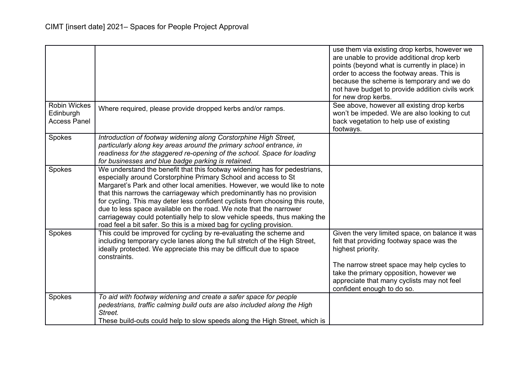|                                                         |                                                                                                                                                                                                                                                                                                                                                                                                                                                                                                                                                                                                                 | use them via existing drop kerbs, however we<br>are unable to provide additional drop kerb<br>points (beyond what is currently in place) in<br>order to access the footway areas. This is<br>because the scheme is temporary and we do<br>not have budget to provide addition civils work<br>for new drop kerbs. |
|---------------------------------------------------------|-----------------------------------------------------------------------------------------------------------------------------------------------------------------------------------------------------------------------------------------------------------------------------------------------------------------------------------------------------------------------------------------------------------------------------------------------------------------------------------------------------------------------------------------------------------------------------------------------------------------|------------------------------------------------------------------------------------------------------------------------------------------------------------------------------------------------------------------------------------------------------------------------------------------------------------------|
| <b>Robin Wickes</b><br>Edinburgh<br><b>Access Panel</b> | Where required, please provide dropped kerbs and/or ramps.                                                                                                                                                                                                                                                                                                                                                                                                                                                                                                                                                      | See above, however all existing drop kerbs<br>won't be impeded. We are also looking to cut<br>back vegetation to help use of existing<br>footways.                                                                                                                                                               |
| Spokes                                                  | Introduction of footway widening along Corstorphine High Street,<br>particularly along key areas around the primary school entrance, in<br>readiness for the staggered re-opening of the school. Space for loading<br>for businesses and blue badge parking is retained.                                                                                                                                                                                                                                                                                                                                        |                                                                                                                                                                                                                                                                                                                  |
| Spokes                                                  | We understand the benefit that this footway widening has for pedestrians,<br>especially around Corstorphine Primary School and access to St<br>Margaret's Park and other local amenities. However, we would like to note<br>that this narrows the carriageway which predominantly has no provision<br>for cycling. This may deter less confident cyclists from choosing this route,<br>due to less space available on the road. We note that the narrower<br>carriageway could potentially help to slow vehicle speeds, thus making the<br>road feel a bit safer. So this is a mixed bag for cycling provision. |                                                                                                                                                                                                                                                                                                                  |
| Spokes                                                  | This could be improved for cycling by re-evaluating the scheme and<br>including temporary cycle lanes along the full stretch of the High Street,<br>ideally protected. We appreciate this may be difficult due to space<br>constraints.                                                                                                                                                                                                                                                                                                                                                                         | Given the very limited space, on balance it was<br>felt that providing footway space was the<br>highest priority.<br>The narrow street space may help cycles to<br>take the primary opposition, however we<br>appreciate that many cyclists may not feel<br>confident enough to do so.                           |
| Spokes                                                  | To aid with footway widening and create a safer space for people<br>pedestrians, traffic calming build outs are also included along the High<br>Street.<br>These build-outs could help to slow speeds along the High Street, which is                                                                                                                                                                                                                                                                                                                                                                           |                                                                                                                                                                                                                                                                                                                  |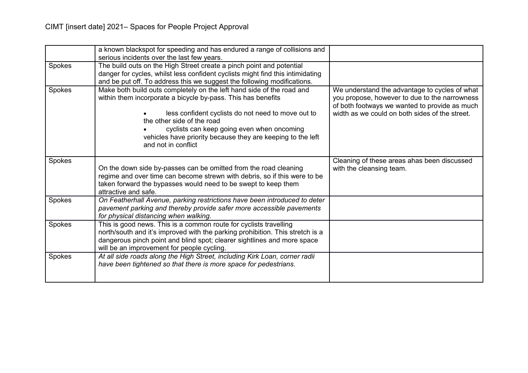|        | a known blackspot for speeding and has endured a range of collisions and<br>serious incidents over the last few years.                                                                                                                                                      |                                                                                                                                                 |
|--------|-----------------------------------------------------------------------------------------------------------------------------------------------------------------------------------------------------------------------------------------------------------------------------|-------------------------------------------------------------------------------------------------------------------------------------------------|
| Spokes | The build outs on the High Street create a pinch point and potential<br>danger for cycles, whilst less confident cyclists might find this intimidating<br>and be put off. To address this we suggest the following modifications.                                           |                                                                                                                                                 |
| Spokes | Make both build outs completely on the left hand side of the road and<br>within them incorporate a bicycle by-pass. This has benefits                                                                                                                                       | We understand the advantage to cycles of what<br>you propose, however to due to the narrowness<br>of both footways we wanted to provide as much |
|        | less confident cyclists do not need to move out to<br>the other side of the road                                                                                                                                                                                            | width as we could on both sides of the street.                                                                                                  |
|        | cyclists can keep going even when oncoming<br>vehicles have priority because they are keeping to the left<br>and not in conflict                                                                                                                                            |                                                                                                                                                 |
| Spokes | On the down side by-passes can be omitted from the road cleaning<br>regime and over time can become strewn with debris, so if this were to be<br>taken forward the bypasses would need to be swept to keep them<br>attractive and safe.                                     | Cleaning of these areas ahas been discussed<br>with the cleansing team.                                                                         |
| Spokes | On Featherhall Avenue, parking restrictions have been introduced to deter<br>pavement parking and thereby provide safer more accessible pavements<br>for physical distancing when walking.                                                                                  |                                                                                                                                                 |
| Spokes | This is good news. This is a common route for cyclists travelling<br>north/south and it's improved with the parking prohibition. This stretch is a<br>dangerous pinch point and blind spot; clearer sightlines and more space<br>will be an improvement for people cycling. |                                                                                                                                                 |
| Spokes | At all side roads along the High Street, including Kirk Loan, corner radii<br>have been tightened so that there is more space for pedestrians.                                                                                                                              |                                                                                                                                                 |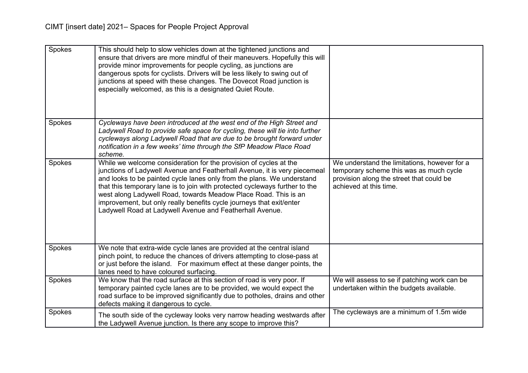| Spokes | This should help to slow vehicles down at the tightened junctions and<br>ensure that drivers are more mindful of their maneuvers. Hopefully this will<br>provide minor improvements for people cycling, as junctions are<br>dangerous spots for cyclists. Drivers will be less likely to swing out of<br>junctions at speed with these changes. The Dovecot Road junction is<br>especially welcomed, as this is a designated Quiet Route.                                                                      |                                                                                                                                                               |
|--------|----------------------------------------------------------------------------------------------------------------------------------------------------------------------------------------------------------------------------------------------------------------------------------------------------------------------------------------------------------------------------------------------------------------------------------------------------------------------------------------------------------------|---------------------------------------------------------------------------------------------------------------------------------------------------------------|
| Spokes | Cycleways have been introduced at the west end of the High Street and<br>Ladywell Road to provide safe space for cycling, these will tie into further<br>cycleways along Ladywell Road that are due to be brought forward under<br>notification in a few weeks' time through the SfP Meadow Place Road<br>scheme.                                                                                                                                                                                              |                                                                                                                                                               |
| Spokes | While we welcome consideration for the provision of cycles at the<br>junctions of Ladywell Avenue and Featherhall Avenue, it is very piecemeal<br>and looks to be painted cycle lanes only from the plans. We understand<br>that this temporary lane is to join with protected cycleways further to the<br>west along Ladywell Road, towards Meadow Place Road. This is an<br>improvement, but only really benefits cycle journeys that exit/enter<br>Ladywell Road at Ladywell Avenue and Featherhall Avenue. | We understand the limitations, however for a<br>temporary scheme this was as much cycle<br>provision along the street that could be<br>achieved at this time. |
| Spokes | We note that extra-wide cycle lanes are provided at the central island<br>pinch point, to reduce the chances of drivers attempting to close-pass at<br>or just before the island. For maximum effect at these danger points, the<br>lanes need to have coloured surfacing.                                                                                                                                                                                                                                     |                                                                                                                                                               |
| Spokes | We know that the road surface at this section of road is very poor. If<br>temporary painted cycle lanes are to be provided, we would expect the<br>road surface to be improved significantly due to potholes, drains and other<br>defects making it dangerous to cycle.                                                                                                                                                                                                                                        | We will assess to se if patching work can be<br>undertaken within the budgets available.                                                                      |
| Spokes | The south side of the cycleway looks very narrow heading westwards after<br>the Ladywell Avenue junction. Is there any scope to improve this?                                                                                                                                                                                                                                                                                                                                                                  | The cycleways are a minimum of 1.5m wide                                                                                                                      |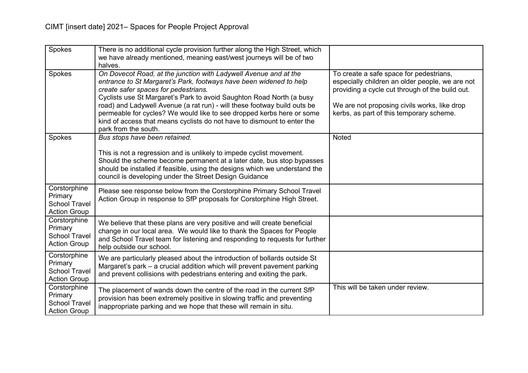| Spokes                                                                 | There is no additional cycle provision further along the High Street, which<br>we have already mentioned, meaning east/west journeys will be of two<br>halves.                                                                                                                                                                                                                                                                                                                                                 |                                                                                                                                                                                                                                           |
|------------------------------------------------------------------------|----------------------------------------------------------------------------------------------------------------------------------------------------------------------------------------------------------------------------------------------------------------------------------------------------------------------------------------------------------------------------------------------------------------------------------------------------------------------------------------------------------------|-------------------------------------------------------------------------------------------------------------------------------------------------------------------------------------------------------------------------------------------|
| Spokes                                                                 | On Dovecot Road, at the junction with Ladywell Avenue and at the<br>entrance to St Margaret's Park, footways have been widened to help<br>create safer spaces for pedestrians.<br>Cyclists use St Margaret's Park to avoid Saughton Road North (a busy<br>road) and Ladywell Avenue (a rat run) - will these footway build outs be<br>permeable for cycles? We would like to see dropped kerbs here or some<br>kind of access that means cyclists do not have to dismount to enter the<br>park from the south. | To create a safe space for pedestrians,<br>especially children an older people, we are not<br>providing a cycle cut through of the build out.<br>We are not proposing civils works, like drop<br>kerbs, as part of this temporary scheme. |
| Spokes                                                                 | Bus stops have been retained.<br>This is not a regression and is unlikely to impede cyclist movement.<br>Should the scheme become permanent at a later date, bus stop bypasses<br>should be installed if feasible, using the designs which we understand the<br>council is developing under the Street Design Guidance                                                                                                                                                                                         | Noted                                                                                                                                                                                                                                     |
| Corstorphine<br>Primary<br><b>School Travel</b><br><b>Action Group</b> | Please see response below from the Corstorphine Primary School Travel<br>Action Group in response to SfP proposals for Corstorphine High Street.                                                                                                                                                                                                                                                                                                                                                               |                                                                                                                                                                                                                                           |
| Corstorphine<br>Primary<br><b>School Travel</b><br><b>Action Group</b> | We believe that these plans are very positive and will create beneficial<br>change in our local area. We would like to thank the Spaces for People<br>and School Travel team for listening and responding to requests for further<br>help outside our school.                                                                                                                                                                                                                                                  |                                                                                                                                                                                                                                           |
| Corstorphine<br>Primary<br><b>School Travel</b><br><b>Action Group</b> | We are particularly pleased about the introduction of bollards outside St<br>Margaret's park – a crucial addition which will prevent pavement parking<br>and prevent collisions with pedestrians entering and exiting the park.                                                                                                                                                                                                                                                                                |                                                                                                                                                                                                                                           |
| Corstorphine<br>Primary<br><b>School Travel</b><br><b>Action Group</b> | The placement of wands down the centre of the road in the current SfP<br>provision has been extremely positive in slowing traffic and preventing<br>inappropriate parking and we hope that these will remain in situ.                                                                                                                                                                                                                                                                                          | This will be taken under review.                                                                                                                                                                                                          |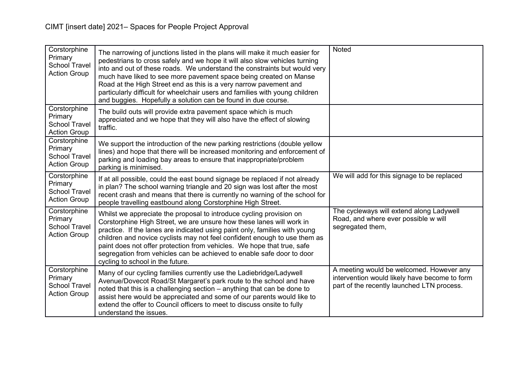| Corstorphine<br>Primary<br><b>School Travel</b><br><b>Action Group</b> | The narrowing of junctions listed in the plans will make it much easier for<br>pedestrians to cross safely and we hope it will also slow vehicles turning<br>into and out of these roads. We understand the constraints but would very<br>much have liked to see more pavement space being created on Manse<br>Road at the High Street end as this is a very narrow pavement and<br>particularly difficult for wheelchair users and families with young children<br>and buggies. Hopefully a solution can be found in due course. | <b>Noted</b>                                                                                                                            |
|------------------------------------------------------------------------|-----------------------------------------------------------------------------------------------------------------------------------------------------------------------------------------------------------------------------------------------------------------------------------------------------------------------------------------------------------------------------------------------------------------------------------------------------------------------------------------------------------------------------------|-----------------------------------------------------------------------------------------------------------------------------------------|
| Corstorphine<br>Primary<br><b>School Travel</b><br><b>Action Group</b> | The build outs will provide extra pavement space which is much<br>appreciated and we hope that they will also have the effect of slowing<br>traffic.                                                                                                                                                                                                                                                                                                                                                                              |                                                                                                                                         |
| Corstorphine<br>Primary<br><b>School Travel</b><br><b>Action Group</b> | We support the introduction of the new parking restrictions (double yellow<br>lines) and hope that there will be increased monitoring and enforcement of<br>parking and loading bay areas to ensure that inappropriate/problem<br>parking is minimised.                                                                                                                                                                                                                                                                           |                                                                                                                                         |
| Corstorphine<br>Primary<br><b>School Travel</b><br><b>Action Group</b> | If at all possible, could the east bound signage be replaced if not already<br>in plan? The school warning triangle and 20 sign was lost after the most<br>recent crash and means that there is currently no warning of the school for<br>people travelling eastbound along Corstorphine High Street.                                                                                                                                                                                                                             | We will add for this signage to be replaced                                                                                             |
| Corstorphine<br>Primary<br><b>School Travel</b><br><b>Action Group</b> | Whilst we appreciate the proposal to introduce cycling provision on<br>Corstorphine High Street, we are unsure how these lanes will work in<br>practice. If the lanes are indicated using paint only, families with young<br>children and novice cyclists may not feel confident enough to use them as<br>paint does not offer protection from vehicles. We hope that true, safe<br>segregation from vehicles can be achieved to enable safe door to door<br>cycling to school in the future.                                     | The cycleways will extend along Ladywell<br>Road, and where ever possible w will<br>segregated them,                                    |
| Corstorphine<br>Primary<br><b>School Travel</b><br><b>Action Group</b> | Many of our cycling families currently use the Ladiebridge/Ladywell<br>Avenue/Dovecot Road/St Margaret's park route to the school and have<br>noted that this is a challenging section - anything that can be done to<br>assist here would be appreciated and some of our parents would like to<br>extend the offer to Council officers to meet to discuss onsite to fully<br>understand the issues.                                                                                                                              | A meeting would be welcomed. However any<br>intervention would likely have become to form<br>part of the recently launched LTN process. |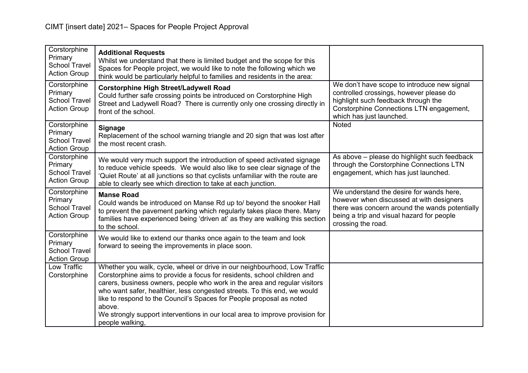| Corstorphine<br>Primary<br><b>School Travel</b><br><b>Action Group</b> | <b>Additional Requests</b><br>Whilst we understand that there is limited budget and the scope for this<br>Spaces for People project, we would like to note the following which we<br>think would be particularly helpful to families and residents in the area:                                                                                                                                                                                                                                    |                                                                                                                                                                                                           |
|------------------------------------------------------------------------|----------------------------------------------------------------------------------------------------------------------------------------------------------------------------------------------------------------------------------------------------------------------------------------------------------------------------------------------------------------------------------------------------------------------------------------------------------------------------------------------------|-----------------------------------------------------------------------------------------------------------------------------------------------------------------------------------------------------------|
| Corstorphine<br>Primary<br><b>School Travel</b><br><b>Action Group</b> | <b>Corstorphine High Street/Ladywell Road</b><br>Could further safe crossing points be introduced on Corstorphine High<br>Street and Ladywell Road? There is currently only one crossing directly in<br>front of the school.                                                                                                                                                                                                                                                                       | We don't have scope to introduce new signal<br>controlled crossings, however please do<br>highlight such feedback through the<br>Corstorphine Connections LTN engagement,<br>which has just launched.     |
| Corstorphine<br>Primary<br><b>School Travel</b><br><b>Action Group</b> | <b>Signage</b><br>Replacement of the school warning triangle and 20 sign that was lost after<br>the most recent crash.                                                                                                                                                                                                                                                                                                                                                                             | <b>Noted</b>                                                                                                                                                                                              |
| Corstorphine<br>Primary<br><b>School Travel</b><br><b>Action Group</b> | We would very much support the introduction of speed activated signage<br>to reduce vehicle speeds. We would also like to see clear signage of the<br>'Quiet Route' at all junctions so that cyclists unfamiliar with the route are<br>able to clearly see which direction to take at each junction.                                                                                                                                                                                               | As above - please do highlight such feedback<br>through the Corstorphine Connections LTN<br>engagement, which has just launched.                                                                          |
| Corstorphine<br>Primary<br><b>School Travel</b><br><b>Action Group</b> | <b>Manse Road</b><br>Could wands be introduced on Manse Rd up to/ beyond the snooker Hall<br>to prevent the pavement parking which regularly takes place there. Many<br>families have experienced being 'driven at' as they are walking this section<br>to the school.                                                                                                                                                                                                                             | We understand the desire for wands here,<br>however when discussed at with designers<br>there was concern around the wands potentially<br>being a trip and visual hazard for people<br>crossing the road. |
| Corstorphine<br>Primary<br><b>School Travel</b><br><b>Action Group</b> | We would like to extend our thanks once again to the team and look<br>forward to seeing the improvements in place soon.                                                                                                                                                                                                                                                                                                                                                                            |                                                                                                                                                                                                           |
| Low Traffic<br>Corstorphine                                            | Whether you walk, cycle, wheel or drive in our neighbourhood, Low Traffic<br>Corstorphine aims to provide a focus for residents, school children and<br>carers, business owners, people who work in the area and regular visitors<br>who want safer, healthier, less congested streets. To this end, we would<br>like to respond to the Council's Spaces for People proposal as noted<br>above.<br>We strongly support interventions in our local area to improve provision for<br>people walking, |                                                                                                                                                                                                           |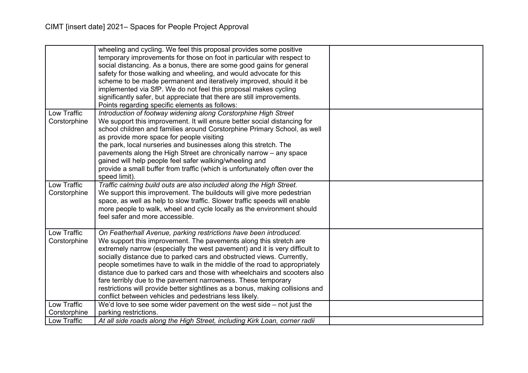|                                    | wheeling and cycling. We feel this proposal provides some positive<br>temporary improvements for those on foot in particular with respect to<br>social distancing. As a bonus, there are some good gains for general<br>safety for those walking and wheeling, and would advocate for this<br>scheme to be made permanent and iteratively improved, should it be<br>implemented via SfP. We do not feel this proposal makes cycling<br>significantly safer, but appreciate that there are still improvements.<br>Points regarding specific elements as follows:                                                                                                    |  |
|------------------------------------|--------------------------------------------------------------------------------------------------------------------------------------------------------------------------------------------------------------------------------------------------------------------------------------------------------------------------------------------------------------------------------------------------------------------------------------------------------------------------------------------------------------------------------------------------------------------------------------------------------------------------------------------------------------------|--|
| <b>Low Traffic</b><br>Corstorphine | Introduction of footway widening along Corstorphine High Street<br>We support this improvement. It will ensure better social distancing for<br>school children and families around Corstorphine Primary School, as well<br>as provide more space for people visiting<br>the park, local nurseries and businesses along this stretch. The<br>pavements along the High Street are chronically narrow - any space<br>gained will help people feel safer walking/wheeling and<br>provide a small buffer from traffic (which is unfortunately often over the<br>speed limit).                                                                                           |  |
| <b>Low Traffic</b><br>Corstorphine | Traffic calming build outs are also included along the High Street.<br>We support this improvement. The buildouts will give more pedestrian<br>space, as well as help to slow traffic. Slower traffic speeds will enable<br>more people to walk, wheel and cycle locally as the environment should<br>feel safer and more accessible.                                                                                                                                                                                                                                                                                                                              |  |
| Low Traffic<br>Corstorphine        | On Featherhall Avenue, parking restrictions have been introduced.<br>We support this improvement. The pavements along this stretch are<br>extremely narrow (especially the west pavement) and it is very difficult to<br>socially distance due to parked cars and obstructed views. Currently,<br>people sometimes have to walk in the middle of the road to appropriately<br>distance due to parked cars and those with wheelchairs and scooters also<br>fare terribly due to the pavement narrowness. These temporary<br>restrictions will provide better sightlines as a bonus, making collisions and<br>conflict between vehicles and pedestrians less likely. |  |
| Low Traffic<br>Corstorphine        | We'd love to see some wider pavement on the west side $-$ not just the<br>parking restrictions.                                                                                                                                                                                                                                                                                                                                                                                                                                                                                                                                                                    |  |
| Low Traffic                        | At all side roads along the High Street, including Kirk Loan, corner radii                                                                                                                                                                                                                                                                                                                                                                                                                                                                                                                                                                                         |  |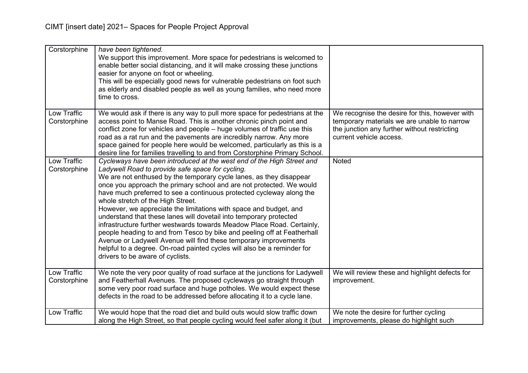| Corstorphine                | have been tightened.<br>We support this improvement. More space for pedestrians is welcomed to<br>enable better social distancing, and it will make crossing these junctions<br>easier for anyone on foot or wheeling.<br>This will be especially good news for vulnerable pedestrians on foot such<br>as elderly and disabled people as well as young families, who need more<br>time to cross.                                                                                                                                                                                                                                                                                                                                                                                                                                                                         |                                                                                                                                                                          |
|-----------------------------|--------------------------------------------------------------------------------------------------------------------------------------------------------------------------------------------------------------------------------------------------------------------------------------------------------------------------------------------------------------------------------------------------------------------------------------------------------------------------------------------------------------------------------------------------------------------------------------------------------------------------------------------------------------------------------------------------------------------------------------------------------------------------------------------------------------------------------------------------------------------------|--------------------------------------------------------------------------------------------------------------------------------------------------------------------------|
| Low Traffic<br>Corstorphine | We would ask if there is any way to pull more space for pedestrians at the<br>access point to Manse Road. This is another chronic pinch point and<br>conflict zone for vehicles and people – huge volumes of traffic use this<br>road as a rat run and the pavements are incredibly narrow. Any more<br>space gained for people here would be welcomed, particularly as this is a<br>desire line for families travelling to and from Corstorphine Primary School.                                                                                                                                                                                                                                                                                                                                                                                                        | We recognise the desire for this, however with<br>temporary materials we are unable to narrow<br>the junction any further without restricting<br>current vehicle access. |
| Low Traffic<br>Corstorphine | Cycleways have been introduced at the west end of the High Street and<br>Ladywell Road to provide safe space for cycling.<br>We are not enthused by the temporary cycle lanes, as they disappear<br>once you approach the primary school and are not protected. We would<br>have much preferred to see a continuous protected cycleway along the<br>whole stretch of the High Street.<br>However, we appreciate the limitations with space and budget, and<br>understand that these lanes will dovetail into temporary protected<br>infrastructure further westwards towards Meadow Place Road. Certainly,<br>people heading to and from Tesco by bike and peeling off at Featherhall<br>Avenue or Ladywell Avenue will find these temporary improvements<br>helpful to a degree. On-road painted cycles will also be a reminder for<br>drivers to be aware of cyclists. | Noted                                                                                                                                                                    |
| Low Traffic<br>Corstorphine | We note the very poor quality of road surface at the junctions for Ladywell<br>and Featherhall Avenues. The proposed cycleways go straight through<br>some very poor road surface and huge potholes. We would expect these<br>defects in the road to be addressed before allocating it to a cycle lane.                                                                                                                                                                                                                                                                                                                                                                                                                                                                                                                                                                  | We will review these and highlight defects for<br>improvement.                                                                                                           |
| Low Traffic                 | We would hope that the road diet and build outs would slow traffic down<br>along the High Street, so that people cycling would feel safer along it (but                                                                                                                                                                                                                                                                                                                                                                                                                                                                                                                                                                                                                                                                                                                  | We note the desire for further cycling<br>improvements, please do highlight such                                                                                         |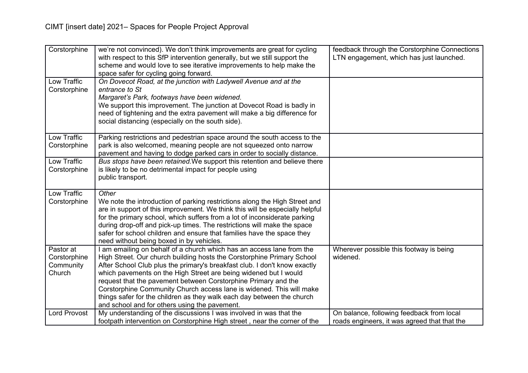| Corstorphine                                     | we're not convinced). We don't think improvements are great for cycling<br>with respect to this SfP intervention generally, but we still support the<br>scheme and would love to see iterative improvements to help make the<br>space safer for cycling going forward.                                                                                                                                                                                                                                                                                                | feedback through the Corstorphine Connections<br>LTN engagement, which has just launched. |
|--------------------------------------------------|-----------------------------------------------------------------------------------------------------------------------------------------------------------------------------------------------------------------------------------------------------------------------------------------------------------------------------------------------------------------------------------------------------------------------------------------------------------------------------------------------------------------------------------------------------------------------|-------------------------------------------------------------------------------------------|
| Low Traffic<br>Corstorphine                      | On Dovecot Road, at the junction with Ladywell Avenue and at the<br>entrance to St<br>Margaret's Park, footways have been widened.<br>We support this improvement. The junction at Dovecot Road is badly in<br>need of tightening and the extra pavement will make a big difference for<br>social distancing (especially on the south side).                                                                                                                                                                                                                          |                                                                                           |
| Low Traffic<br>Corstorphine                      | Parking restrictions and pedestrian space around the south access to the<br>park is also welcomed, meaning people are not squeezed onto narrow<br>pavement and having to dodge parked cars in order to socially distance.                                                                                                                                                                                                                                                                                                                                             |                                                                                           |
| Low Traffic<br>Corstorphine                      | Bus stops have been retained. We support this retention and believe there<br>is likely to be no detrimental impact for people using<br>public transport.                                                                                                                                                                                                                                                                                                                                                                                                              |                                                                                           |
| Low Traffic<br>Corstorphine                      | Other<br>We note the introduction of parking restrictions along the High Street and<br>are in support of this improvement. We think this will be especially helpful<br>for the primary school, which suffers from a lot of inconsiderate parking<br>during drop-off and pick-up times. The restrictions will make the space<br>safer for school children and ensure that families have the space they<br>need without being boxed in by vehicles.                                                                                                                     |                                                                                           |
| Pastor at<br>Corstorphine<br>Community<br>Church | I am emailing on behalf of a church which has an access lane from the<br>High Street. Our church building hosts the Corstorphine Primary School<br>After School Club plus the primary's breakfast club. I don't know exactly<br>which pavements on the High Street are being widened but I would<br>request that the pavement between Corstorphine Primary and the<br>Corstorphine Community Church access lane is widened. This will make<br>things safer for the children as they walk each day between the church<br>and school and for others using the pavement. | Wherever possible this footway is being<br>widened.                                       |
| <b>Lord Provost</b>                              | My understanding of the discussions I was involved in was that the<br>footpath intervention on Corstorphine High street, near the corner of the                                                                                                                                                                                                                                                                                                                                                                                                                       | On balance, following feedback from local<br>roads engineers, it was agreed that that the |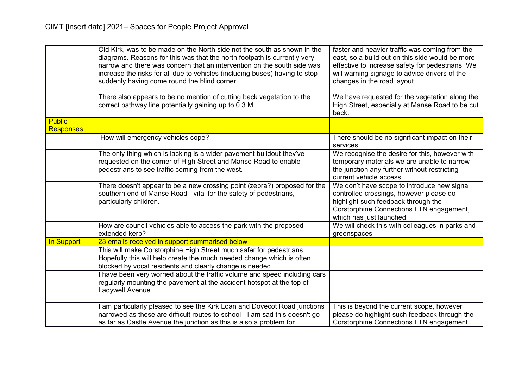|                  | Old Kirk, was to be made on the North side not the south as shown in the<br>diagrams. Reasons for this was that the north footpath is currently very<br>narrow and there was concern that an intervention on the south side was<br>increase the risks for all due to vehicles (including buses) having to stop<br>suddenly having come round the blind corner.<br>There also appears to be no mention of cutting back vegetation to the<br>correct pathway line potentially gaining up to 0.3 M. | faster and heavier traffic was coming from the<br>east, so a build out on this side would be more<br>effective to increase safety for pedestrians. We<br>will warning signage to advice drivers of the<br>changes in the road layout<br>We have requested for the vegetation along the<br>High Street, especially at Manse Road to be cut<br>back. |
|------------------|--------------------------------------------------------------------------------------------------------------------------------------------------------------------------------------------------------------------------------------------------------------------------------------------------------------------------------------------------------------------------------------------------------------------------------------------------------------------------------------------------|----------------------------------------------------------------------------------------------------------------------------------------------------------------------------------------------------------------------------------------------------------------------------------------------------------------------------------------------------|
| <b>Public</b>    |                                                                                                                                                                                                                                                                                                                                                                                                                                                                                                  |                                                                                                                                                                                                                                                                                                                                                    |
| <b>Responses</b> |                                                                                                                                                                                                                                                                                                                                                                                                                                                                                                  |                                                                                                                                                                                                                                                                                                                                                    |
|                  | How will emergency vehicles cope?                                                                                                                                                                                                                                                                                                                                                                                                                                                                | There should be no significant impact on their<br>services                                                                                                                                                                                                                                                                                         |
|                  | The only thing which is lacking is a wider pavement buildout they've<br>requested on the corner of High Street and Manse Road to enable<br>pedestrians to see traffic coming from the west.                                                                                                                                                                                                                                                                                                      | We recognise the desire for this, however with<br>temporary materials we are unable to narrow<br>the junction any further without restricting<br>current vehicle access.                                                                                                                                                                           |
|                  | There doesn't appear to be a new crossing point (zebra?) proposed for the<br>southern end of Manse Road - vital for the safety of pedestrians,<br>particularly children.                                                                                                                                                                                                                                                                                                                         | We don't have scope to introduce new signal<br>controlled crossings, however please do<br>highlight such feedback through the<br>Corstorphine Connections LTN engagement,<br>which has just launched.                                                                                                                                              |
|                  | How are council vehicles able to access the park with the proposed<br>extended kerb?                                                                                                                                                                                                                                                                                                                                                                                                             | We will check this with colleagues in parks and<br>greenspaces                                                                                                                                                                                                                                                                                     |
| In Support       | 23 emails received in support summarised below                                                                                                                                                                                                                                                                                                                                                                                                                                                   |                                                                                                                                                                                                                                                                                                                                                    |
|                  | This will make Corstorphine High Street much safer for pedestrians.                                                                                                                                                                                                                                                                                                                                                                                                                              |                                                                                                                                                                                                                                                                                                                                                    |
|                  | Hopefully this will help create the much needed change which is often<br>blocked by vocal residents and clearly change is needed.                                                                                                                                                                                                                                                                                                                                                                |                                                                                                                                                                                                                                                                                                                                                    |
|                  | I have been very worried about the traffic volume and speed including cars<br>regularly mounting the pavement at the accident hotspot at the top of<br>Ladywell Avenue.                                                                                                                                                                                                                                                                                                                          |                                                                                                                                                                                                                                                                                                                                                    |
|                  | I am particularly pleased to see the Kirk Loan and Dovecot Road junctions<br>narrowed as these are difficult routes to school - I am sad this doesn't go<br>as far as Castle Avenue the junction as this is also a problem for                                                                                                                                                                                                                                                                   | This is beyond the current scope, however<br>please do highlight such feedback through the<br>Corstorphine Connections LTN engagement,                                                                                                                                                                                                             |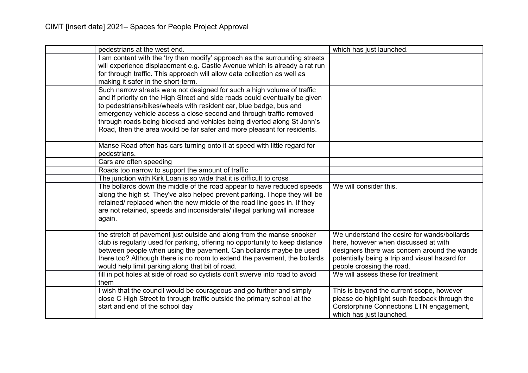| pedestrians at the west end.                                                                                                                                                                                                                                                                                                                                                                                                                              | which has just launched.                                                                                                                                                                                           |
|-----------------------------------------------------------------------------------------------------------------------------------------------------------------------------------------------------------------------------------------------------------------------------------------------------------------------------------------------------------------------------------------------------------------------------------------------------------|--------------------------------------------------------------------------------------------------------------------------------------------------------------------------------------------------------------------|
| am content with the 'try then modify' approach as the surrounding streets<br>will experience displacement e.g. Castle Avenue which is already a rat run<br>for through traffic. This approach will allow data collection as well as<br>making it safer in the short-term.                                                                                                                                                                                 |                                                                                                                                                                                                                    |
| Such narrow streets were not designed for such a high volume of traffic<br>and if priority on the High Street and side roads could eventually be given<br>to pedestrians/bikes/wheels with resident car, blue badge, bus and<br>emergency vehicle access a close second and through traffic removed<br>through roads being blocked and vehicles being diverted along St John's<br>Road, then the area would be far safer and more pleasant for residents. |                                                                                                                                                                                                                    |
| Manse Road often has cars turning onto it at speed with little regard for<br>pedestrians.                                                                                                                                                                                                                                                                                                                                                                 |                                                                                                                                                                                                                    |
| Cars are often speeding                                                                                                                                                                                                                                                                                                                                                                                                                                   |                                                                                                                                                                                                                    |
| Roads too narrow to support the amount of traffic                                                                                                                                                                                                                                                                                                                                                                                                         |                                                                                                                                                                                                                    |
| The junction with Kirk Loan is so wide that it is difficult to cross                                                                                                                                                                                                                                                                                                                                                                                      |                                                                                                                                                                                                                    |
| The bollards down the middle of the road appear to have reduced speeds<br>along the high st. They've also helped prevent parking. I hope they will be<br>retained/ replaced when the new middle of the road line goes in. If they<br>are not retained, speeds and inconsiderate/ illegal parking will increase<br>again.                                                                                                                                  | We will consider this.                                                                                                                                                                                             |
| the stretch of pavement just outside and along from the manse snooker<br>club is regularly used for parking, offering no opportunity to keep distance<br>between people when using the pavement. Can bollards maybe be used<br>there too? Although there is no room to extend the pavement, the bollards<br>would help limit parking along that bit of road.                                                                                              | We understand the desire for wands/bollards<br>here, however when discussed at with<br>designers there was concern around the wands<br>potentially being a trip and visual hazard for<br>people crossing the road. |
| fill in pot holes at side of road so cyclists don't swerve into road to avoid<br>them                                                                                                                                                                                                                                                                                                                                                                     | We will assess these for treatment                                                                                                                                                                                 |
| I wish that the council would be courageous and go further and simply<br>close C High Street to through traffic outside the primary school at the<br>start and end of the school day                                                                                                                                                                                                                                                                      | This is beyond the current scope, however<br>please do highlight such feedback through the<br>Corstorphine Connections LTN engagement,<br>which has just launched.                                                 |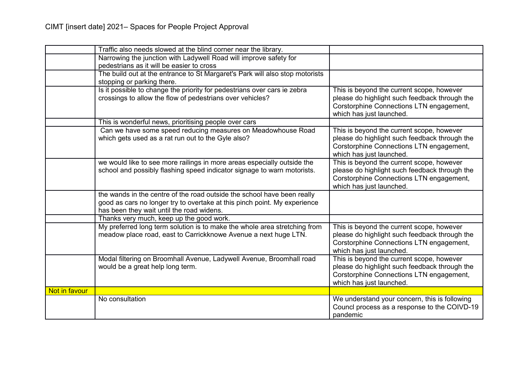|               | Traffic also needs slowed at the blind corner near the library.              |                                               |
|---------------|------------------------------------------------------------------------------|-----------------------------------------------|
|               |                                                                              |                                               |
|               | Narrowing the junction with Ladywell Road will improve safety for            |                                               |
|               | pedestrians as it will be easier to cross                                    |                                               |
|               | The build out at the entrance to St Margaret's Park will also stop motorists |                                               |
|               | stopping or parking there.                                                   |                                               |
|               | Is it possible to change the priority for pedestrians over cars ie zebra     | This is beyond the current scope, however     |
|               | crossings to allow the flow of pedestrians over vehicles?                    | please do highlight such feedback through the |
|               |                                                                              | Corstorphine Connections LTN engagement,      |
|               |                                                                              | which has just launched.                      |
|               | This is wonderful news, prioritising people over cars                        |                                               |
|               | Can we have some speed reducing measures on Meadowhouse Road                 | This is beyond the current scope, however     |
|               | which gets used as a rat run out to the Gyle also?                           | please do highlight such feedback through the |
|               |                                                                              |                                               |
|               |                                                                              | Corstorphine Connections LTN engagement,      |
|               |                                                                              | which has just launched.                      |
|               | we would like to see more railings in more areas especially outside the      | This is beyond the current scope, however     |
|               | school and possibly flashing speed indicator signage to warn motorists.      | please do highlight such feedback through the |
|               |                                                                              | Corstorphine Connections LTN engagement,      |
|               |                                                                              | which has just launched.                      |
|               | the wands in the centre of the road outside the school have been really      |                                               |
|               | good as cars no longer try to overtake at this pinch point. My experience    |                                               |
|               | has been they wait until the road widens.                                    |                                               |
|               | Thanks very much, keep up the good work.                                     |                                               |
|               | My preferred long term solution is to make the whole area stretching from    | This is beyond the current scope, however     |
|               | meadow place road, east to Carrickknowe Avenue a next huge LTN.              | please do highlight such feedback through the |
|               |                                                                              |                                               |
|               |                                                                              | Corstorphine Connections LTN engagement,      |
|               |                                                                              | which has just launched.                      |
|               | Modal filtering on Broomhall Avenue, Ladywell Avenue, Broomhall road         | This is beyond the current scope, however     |
|               | would be a great help long term.                                             | please do highlight such feedback through the |
|               |                                                                              | Corstorphine Connections LTN engagement,      |
|               |                                                                              | which has just launched.                      |
| Not in favour |                                                                              |                                               |
|               | No consultation                                                              | We understand your concern, this is following |
|               |                                                                              | Councl process as a response to the COIVD-19  |
|               |                                                                              | pandemic                                      |